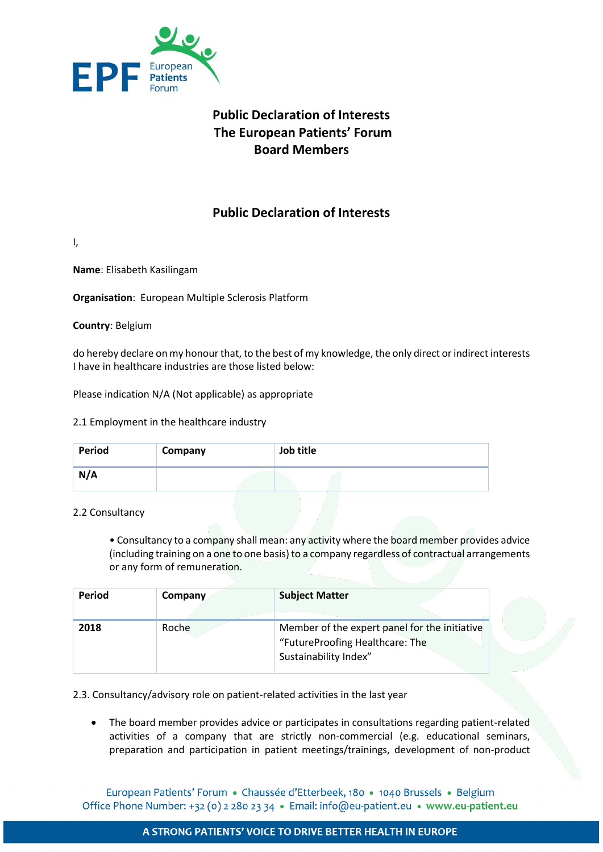

# **Public Declaration of Interests The European Patients' Forum Board Members**

## **Public Declaration of Interests**

I,

**Name**: Elisabeth Kasilingam

**Organisation**: European Multiple Sclerosis Platform

**Country**: Belgium

do hereby declare on my honour that, to the best of my knowledge, the only direct or indirect interests I have in healthcare industries are those listed below:

Please indication N/A (Not applicable) as appropriate

#### 2.1 Employment in the healthcare industry

| Period | Company | Job title |
|--------|---------|-----------|
| N/A    |         |           |

#### 2.2 Consultancy

• Consultancy to a company shall mean: any activity where the board member provides advice (including training on a one to one basis) to a company regardless of contractual arrangements or any form of remuneration.

| Period | Company | <b>Subject Matter</b>                                                                                     |
|--------|---------|-----------------------------------------------------------------------------------------------------------|
| 2018   | Roche   | Member of the expert panel for the initiative<br>"FutureProofing Healthcare: The<br>Sustainability Index" |

2.3. Consultancy/advisory role on patient-related activities in the last year

• The board member provides advice or participates in consultations regarding patient-related activities of a company that are strictly non-commercial (e.g. educational seminars, preparation and participation in patient meetings/trainings, development of non-product

European Patients' Forum · Chaussée d'Etterbeek, 180 · 1040 Brussels · Belgium Office Phone Number: +32 (0) 2 280 23 34 · Email: info@eu-patient.eu · www.eu-patient.eu

#### A STRONG PATIENTS' VOICE TO DRIVE BETTER HEALTH IN EUROPE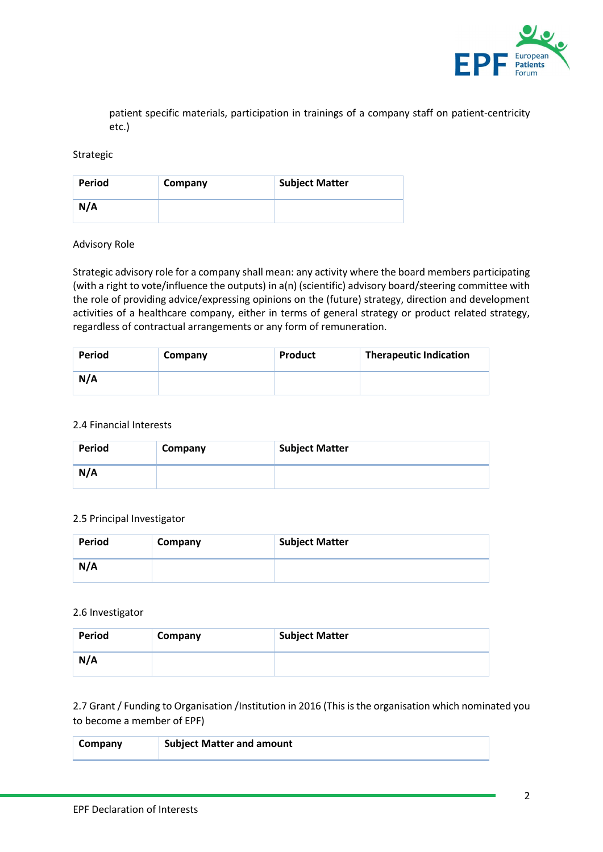

patient specific materials, participation in trainings of a company staff on patient-centricity etc.)

#### Strategic

| <b>Period</b> | Company | <b>Subject Matter</b> |
|---------------|---------|-----------------------|
| N/A           |         |                       |

#### Advisory Role

Strategic advisory role for a company shall mean: any activity where the board members participating (with a right to vote/influence the outputs) in a(n) (scientific) advisory board/steering committee with the role of providing advice/expressing opinions on the (future) strategy, direction and development activities of a healthcare company, either in terms of general strategy or product related strategy, regardless of contractual arrangements or any form of remuneration.

| <b>Period</b> | Company | Product | <b>Therapeutic Indication</b> |
|---------------|---------|---------|-------------------------------|
| N/A           |         |         |                               |

#### 2.4 Financial Interests

| <b>Period</b> | Company | <b>Subject Matter</b> |
|---------------|---------|-----------------------|
| N/A           |         |                       |

#### 2.5 Principal Investigator

| <b>Period</b> | Company | <b>Subject Matter</b> |
|---------------|---------|-----------------------|
| N/A           |         |                       |

#### 2.6 Investigator

| <b>Period</b> | Company | <b>Subject Matter</b> |
|---------------|---------|-----------------------|
| N/A           |         |                       |

2.7 Grant / Funding to Organisation /Institution in 2016 (This is the organisation which nominated you to become a member of EPF)

| Company | <b>Subject Matter and amount</b> |
|---------|----------------------------------|
|         |                                  |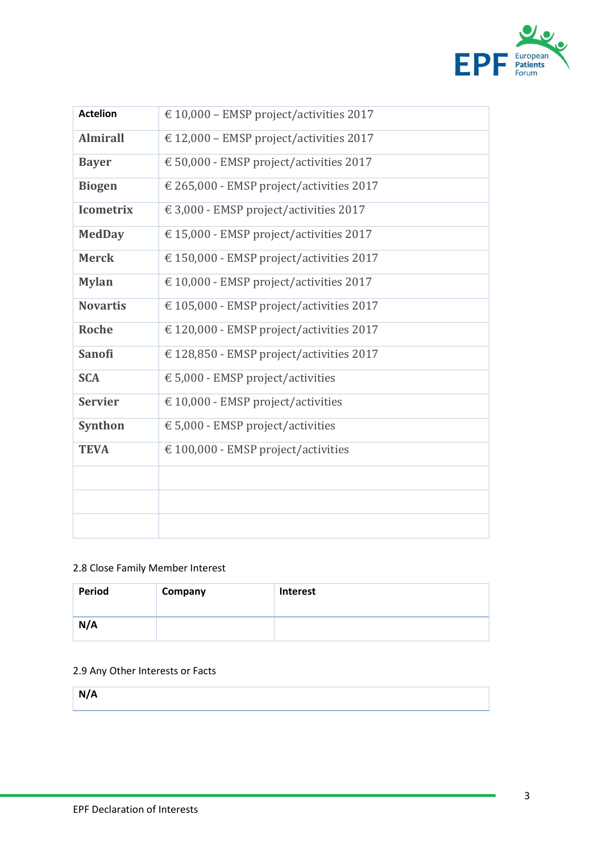

| <b>Actelion</b>  | € 10,000 – EMSP project/activities 2017  |
|------------------|------------------------------------------|
| <b>Almirall</b>  | € 12,000 - EMSP project/activities 2017  |
| <b>Bayer</b>     | € 50,000 - EMSP project/activities 2017  |
| <b>Biogen</b>    | € 265,000 - EMSP project/activities 2017 |
| <b>Icometrix</b> | € 3,000 - EMSP project/activities 2017   |
| <b>MedDay</b>    | € 15,000 - EMSP project/activities 2017  |
| <b>Merck</b>     | € 150,000 - EMSP project/activities 2017 |
| <b>Mylan</b>     | € 10,000 - EMSP project/activities 2017  |
| <b>Novartis</b>  | € 105,000 - EMSP project/activities 2017 |
| <b>Roche</b>     | € 120,000 - EMSP project/activities 2017 |
| <b>Sanofi</b>    | € 128,850 - EMSP project/activities 2017 |
| <b>SCA</b>       | € 5,000 - EMSP project/activities        |
| <b>Servier</b>   | € 10,000 - EMSP project/activities       |
| Synthon          | € 5,000 - EMSP project/activities        |
| <b>TEVA</b>      | € 100,000 - EMSP project/activities      |
|                  |                                          |
|                  |                                          |
|                  |                                          |

### 2.8 Close Family Member Interest

| Period | Company | <b>Interest</b> |
|--------|---------|-----------------|
| N/A    |         |                 |

### 2.9 Any Other Interests or Facts

**N/A**